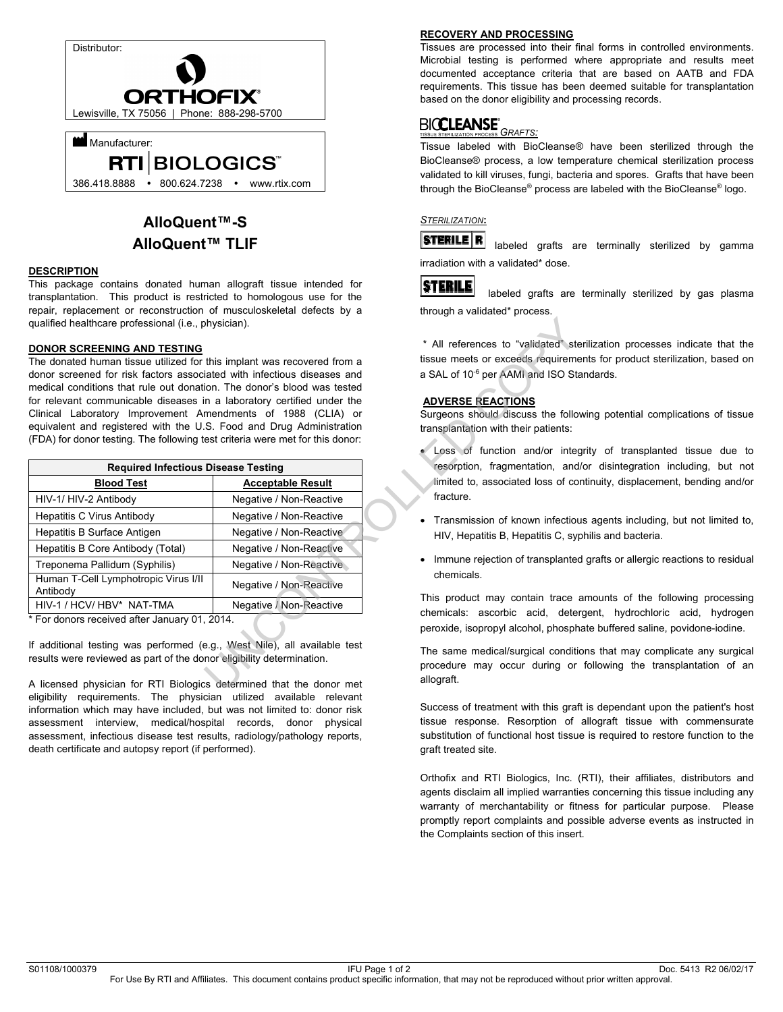

# **AlloQuent™-S AlloQuent™ TLIF**

### **DESCRIPTION**

This package contains donated human allograft tissue intended for transplantation. This product is restricted to homologous use for the repair, replacement or reconstruction of musculoskeletal defects by a qualified healthcare professional (i.e., physician).

### **DONOR SCREENING AND TESTING**

| * All references to "validated" ste<br>tissue meets or exceeds requireme<br>The donated human tissue utilized for this implant was recovered from a<br>a SAL of 10 <sup>-6</sup> per AAMI and ISO Sta<br>donor screened for risk factors associated with infectious diseases and<br>medical conditions that rule out donation. The donor's blood was tested<br>for relevant communicable diseases in a laboratory certified under the<br><b>ADVERSE REACTIONS</b><br>Clinical Laboratory Improvement Amendments of 1988 (CLIA) or<br>Surgeons should discuss the follo<br>equivalent and registered with the U.S. Food and Drug Administration<br>transplantation with their patients:<br>(FDA) for donor testing. The following test criteria were met for this donor:<br>Loss of function and/or inter |
|----------------------------------------------------------------------------------------------------------------------------------------------------------------------------------------------------------------------------------------------------------------------------------------------------------------------------------------------------------------------------------------------------------------------------------------------------------------------------------------------------------------------------------------------------------------------------------------------------------------------------------------------------------------------------------------------------------------------------------------------------------------------------------------------------------|
| resorption, fragmentation, and                                                                                                                                                                                                                                                                                                                                                                                                                                                                                                                                                                                                                                                                                                                                                                           |
| limited to, associated loss of co                                                                                                                                                                                                                                                                                                                                                                                                                                                                                                                                                                                                                                                                                                                                                                        |
| fracture.<br>Negative / Non-Reactive                                                                                                                                                                                                                                                                                                                                                                                                                                                                                                                                                                                                                                                                                                                                                                     |
| Negative / Non-Reactive<br>Transmission of known infectiou<br>$\bullet$                                                                                                                                                                                                                                                                                                                                                                                                                                                                                                                                                                                                                                                                                                                                  |
| Negative / Non-Reactive<br>HIV, Hepatitis B, Hepatitis C, syp                                                                                                                                                                                                                                                                                                                                                                                                                                                                                                                                                                                                                                                                                                                                            |
| Negative / Non-Reactive                                                                                                                                                                                                                                                                                                                                                                                                                                                                                                                                                                                                                                                                                                                                                                                  |
| • Immune rejection of transplanted<br>Negative / Non-Reactive                                                                                                                                                                                                                                                                                                                                                                                                                                                                                                                                                                                                                                                                                                                                            |
| chemicals.<br>Negative / Non-Reactive                                                                                                                                                                                                                                                                                                                                                                                                                                                                                                                                                                                                                                                                                                                                                                    |
| This product may contain trace a<br>Negative / Non-Reactive                                                                                                                                                                                                                                                                                                                                                                                                                                                                                                                                                                                                                                                                                                                                              |
| chemicals: ascorbic acid, deter<br>peroxide, isopropyl alcohol, phosph                                                                                                                                                                                                                                                                                                                                                                                                                                                                                                                                                                                                                                                                                                                                   |
| If additional testing was performed (e.g., West Nile), all available test<br>The same medical/surgical condition<br>procedure may occur during or<br>allograft.<br>A licensed physician for RTI Biologics determined that the donor met                                                                                                                                                                                                                                                                                                                                                                                                                                                                                                                                                                  |
|                                                                                                                                                                                                                                                                                                                                                                                                                                                                                                                                                                                                                                                                                                                                                                                                          |

A licensed physician for RTI Biologics determined that the donor met eligibility requirements. The physician utilized available relevant information which may have included, but was not limited to: donor risk assessment interview, medical/hospital records, donor physical assessment, infectious disease test results, radiology/pathology reports, death certificate and autopsy report (if performed).

### **RECOVERY AND PROCESSING**

Tissues are processed into their final forms in controlled environments. Microbial testing is performed where appropriate and results meet documented acceptance criteria that are based on AATB and FDA requirements. This tissue has been deemed suitable for transplantation based on the donor eligibility and processing records.

#### **BICCLEANSE** *GRAFTS:*

Tissue labeled with BioCleanse® have been sterilized through the BioCleanse® process, a low temperature chemical sterilization process validated to kill viruses, fungi, bacteria and spores. Grafts that have been through the BioCleanse® process are labeled with the BioCleanse® logo.

## *STERILIZATION***:**



irradiation with a validated\* dose.

**STERILE** 

 labeled grafts are terminally sterilized by gas plasma through a validated\* process.

\* All references to "validated" sterilization processes indicate that the tissue meets or exceeds requirements for product sterilization, based on a SAL of 10<sup>-6</sup> per AAMI and ISO Standards.

## **ADVERSE REACTIONS**

Surgeons should discuss the following potential complications of tissue transplantation with their patients:

- Loss of function and/or integrity of transplanted tissue due to resorption, fragmentation, and/or disintegration including, but not limited to, associated loss of continuity, displacement, bending and/or fracture.
- Transmission of known infectious agents including, but not limited to, HIV, Hepatitis B, Hepatitis C, syphilis and bacteria.
- Immune rejection of transplanted grafts or allergic reactions to residual chemicals.

This product may contain trace amounts of the following processing chemicals: ascorbic acid, detergent, hydrochloric acid, hydrogen peroxide, isopropyl alcohol, phosphate buffered saline, povidone-iodine.

The same medical/surgical conditions that may complicate any surgical procedure may occur during or following the transplantation of an allograft.

Success of treatment with this graft is dependant upon the patient's host tissue response. Resorption of allograft tissue with commensurate substitution of functional host tissue is required to restore function to the graft treated site.

Orthofix and RTI Biologics, Inc. (RTI), their affiliates, distributors and agents disclaim all implied warranties concerning this tissue including any warranty of merchantability or fitness for particular purpose. Please promptly report complaints and possible adverse events as instructed in the Complaints section of this insert.